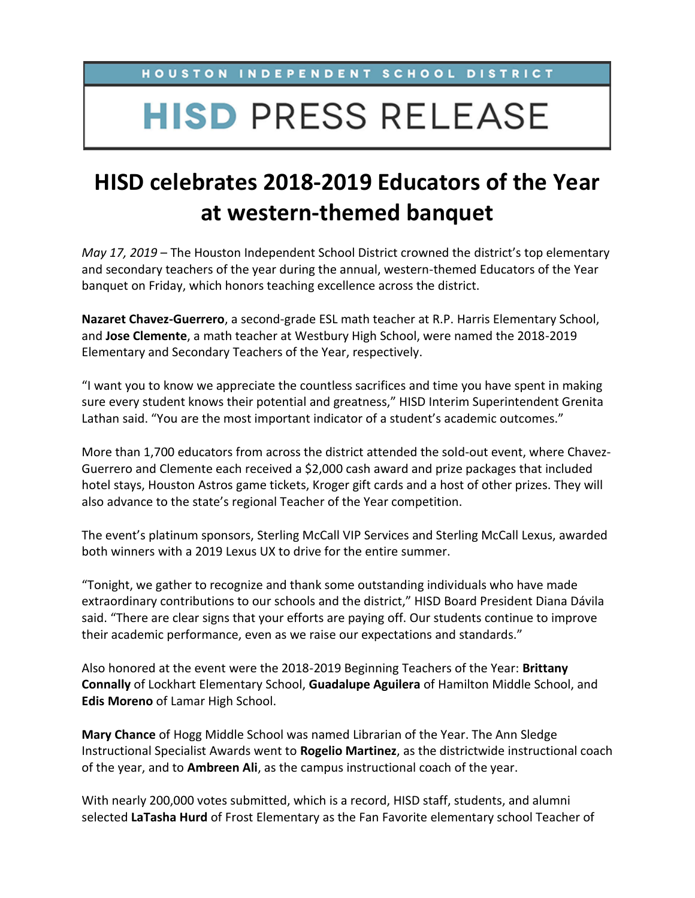HOUSTON INDEPENDENT SCHOOL DISTRICT

## **HISD PRESS RELEASE**

## **HISD celebrates 2018-2019 Educators of the Year at western-themed banquet**

*May 17, 2019* – The Houston Independent School District crowned the district's top elementary and secondary teachers of the year during the annual, western-themed Educators of the Year banquet on Friday, which honors teaching excellence across the district.

**Nazaret Chavez-Guerrero**, a second-grade ESL math teacher at R.P. Harris Elementary School, and **Jose Clemente**, a math teacher at Westbury High School, were named the 2018-2019 Elementary and Secondary Teachers of the Year, respectively.

"I want you to know we appreciate the countless sacrifices and time you have spent in making sure every student knows their potential and greatness," HISD Interim Superintendent Grenita Lathan said. "You are the most important indicator of a student's academic outcomes."

More than 1,700 educators from across the district attended the sold-out event, where Chavez-Guerrero and Clemente each received a \$2,000 cash award and prize packages that included hotel stays, Houston Astros game tickets, Kroger gift cards and a host of other prizes. They will also advance to the state's regional Teacher of the Year competition.

The event's platinum sponsors, Sterling McCall VIP Services and Sterling McCall Lexus, awarded both winners with a 2019 Lexus UX to drive for the entire summer.

"Tonight, we gather to recognize and thank some outstanding individuals who have made extraordinary contributions to our schools and the district," HISD Board President Diana Dávila said. "There are clear signs that your efforts are paying off. Our students continue to improve their academic performance, even as we raise our expectations and standards."

Also honored at the event were the 2018-2019 Beginning Teachers of the Year: **Brittany Connally** of Lockhart Elementary School, **Guadalupe Aguilera** of Hamilton Middle School, and **Edis Moreno** of Lamar High School.

**Mary Chance** of Hogg Middle School was named Librarian of the Year. The Ann Sledge Instructional Specialist Awards went to **Rogelio Martinez**, as the districtwide instructional coach of the year, and to **Ambreen Ali**, as the campus instructional coach of the year.

With nearly 200,000 votes submitted, which is a record, HISD staff, students, and alumni selected **LaTasha Hurd** of Frost Elementary as the Fan Favorite elementary school Teacher of